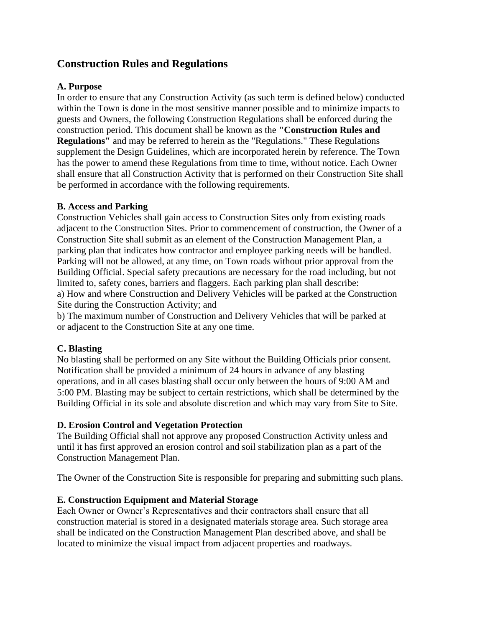# **Construction Rules and Regulations**

#### **A. Purpose**

In order to ensure that any Construction Activity (as such term is defined below) conducted within the Town is done in the most sensitive manner possible and to minimize impacts to guests and Owners, the following Construction Regulations shall be enforced during the construction period. This document shall be known as the **"Construction Rules and Regulations"** and may be referred to herein as the "Regulations." These Regulations supplement the Design Guidelines, which are incorporated herein by reference. The Town has the power to amend these Regulations from time to time, without notice. Each Owner shall ensure that all Construction Activity that is performed on their Construction Site shall be performed in accordance with the following requirements.

#### **B. Access and Parking**

Construction Vehicles shall gain access to Construction Sites only from existing roads adjacent to the Construction Sites. Prior to commencement of construction, the Owner of a Construction Site shall submit as an element of the Construction Management Plan, a parking plan that indicates how contractor and employee parking needs will be handled. Parking will not be allowed, at any time, on Town roads without prior approval from the Building Official. Special safety precautions are necessary for the road including, but not limited to, safety cones, barriers and flaggers. Each parking plan shall describe: a) How and where Construction and Delivery Vehicles will be parked at the Construction Site during the Construction Activity; and

b) The maximum number of Construction and Delivery Vehicles that will be parked at or adjacent to the Construction Site at any one time.

### **C. Blasting**

No blasting shall be performed on any Site without the Building Officials prior consent. Notification shall be provided a minimum of 24 hours in advance of any blasting operations, and in all cases blasting shall occur only between the hours of 9:00 AM and 5:00 PM. Blasting may be subject to certain restrictions, which shall be determined by the Building Official in its sole and absolute discretion and which may vary from Site to Site.

### **D. Erosion Control and Vegetation Protection**

The Building Official shall not approve any proposed Construction Activity unless and until it has first approved an erosion control and soil stabilization plan as a part of the Construction Management Plan.

The Owner of the Construction Site is responsible for preparing and submitting such plans.

#### **E. Construction Equipment and Material Storage**

Each Owner or Owner's Representatives and their contractors shall ensure that all construction material is stored in a designated materials storage area. Such storage area shall be indicated on the Construction Management Plan described above, and shall be located to minimize the visual impact from adjacent properties and roadways.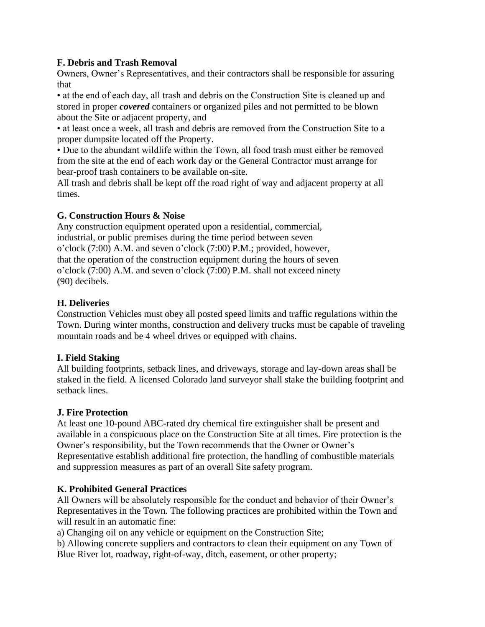### **F. Debris and Trash Removal**

Owners, Owner's Representatives, and their contractors shall be responsible for assuring that

• at the end of each day, all trash and debris on the Construction Site is cleaned up and stored in proper *covered* containers or organized piles and not permitted to be blown about the Site or adjacent property, and

• at least once a week, all trash and debris are removed from the Construction Site to a proper dumpsite located off the Property.

• Due to the abundant wildlife within the Town, all food trash must either be removed from the site at the end of each work day or the General Contractor must arrange for bear-proof trash containers to be available on-site.

All trash and debris shall be kept off the road right of way and adjacent property at all times.

### **G. Construction Hours & Noise**

Any construction equipment operated upon a residential, commercial, industrial, or public premises during the time period between seven o'clock (7:00) A.M. and seven o'clock (7:00) P.M.; provided, however, that the operation of the construction equipment during the hours of seven o'clock (7:00) A.M. and seven o'clock (7:00) P.M. shall not exceed ninety (90) decibels.

### **H. Deliveries**

Construction Vehicles must obey all posted speed limits and traffic regulations within the Town. During winter months, construction and delivery trucks must be capable of traveling mountain roads and be 4 wheel drives or equipped with chains.

### **I. Field Staking**

All building footprints, setback lines, and driveways, storage and lay-down areas shall be staked in the field. A licensed Colorado land surveyor shall stake the building footprint and setback lines.

#### **J. Fire Protection**

At least one 10-pound ABC-rated dry chemical fire extinguisher shall be present and available in a conspicuous place on the Construction Site at all times. Fire protection is the Owner's responsibility, but the Town recommends that the Owner or Owner's Representative establish additional fire protection, the handling of combustible materials and suppression measures as part of an overall Site safety program.

#### **K. Prohibited General Practices**

All Owners will be absolutely responsible for the conduct and behavior of their Owner's Representatives in the Town. The following practices are prohibited within the Town and will result in an automatic fine:

a) Changing oil on any vehicle or equipment on the Construction Site;

b) Allowing concrete suppliers and contractors to clean their equipment on any Town of Blue River lot, roadway, right-of-way, ditch, easement, or other property;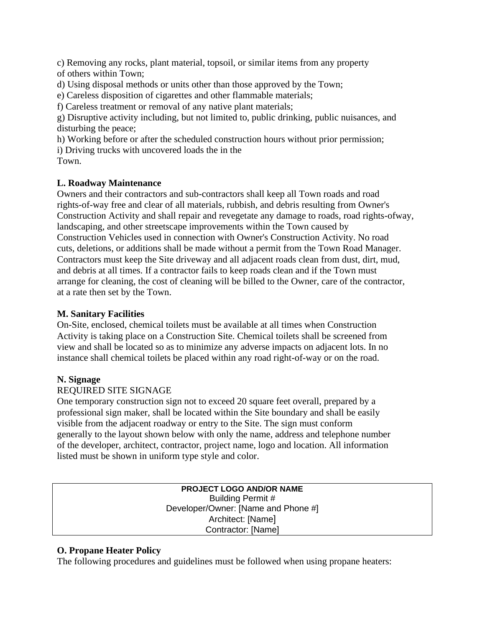c) Removing any rocks, plant material, topsoil, or similar items from any property of others within Town;

d) Using disposal methods or units other than those approved by the Town;

e) Careless disposition of cigarettes and other flammable materials;

f) Careless treatment or removal of any native plant materials;

g) Disruptive activity including, but not limited to, public drinking, public nuisances, and disturbing the peace;

h) Working before or after the scheduled construction hours without prior permission;

i) Driving trucks with uncovered loads the in the

Town.

# **L. Roadway Maintenance**

Owners and their contractors and sub-contractors shall keep all Town roads and road rights-of-way free and clear of all materials, rubbish, and debris resulting from Owner's Construction Activity and shall repair and revegetate any damage to roads, road rights-ofway, landscaping, and other streetscape improvements within the Town caused by Construction Vehicles used in connection with Owner's Construction Activity. No road cuts, deletions, or additions shall be made without a permit from the Town Road Manager. Contractors must keep the Site driveway and all adjacent roads clean from dust, dirt, mud, and debris at all times. If a contractor fails to keep roads clean and if the Town must arrange for cleaning, the cost of cleaning will be billed to the Owner, care of the contractor, at a rate then set by the Town.

# **M. Sanitary Facilities**

On-Site, enclosed, chemical toilets must be available at all times when Construction Activity is taking place on a Construction Site. Chemical toilets shall be screened from view and shall be located so as to minimize any adverse impacts on adjacent lots. In no instance shall chemical toilets be placed within any road right-of-way or on the road.

# **N. Signage**

# REQUIRED SITE SIGNAGE

One temporary construction sign not to exceed 20 square feet overall, prepared by a professional sign maker, shall be located within the Site boundary and shall be easily visible from the adjacent roadway or entry to the Site. The sign must conform generally to the layout shown below with only the name, address and telephone number of the developer, architect, contractor, project name, logo and location. All information listed must be shown in uniform type style and color.

> **PROJECT LOGO AND/OR NAME** Building Permit # Developer/Owner: [Name and Phone #] Architect: [Name] Contractor: [Name]

# **O. Propane Heater Policy**

The following procedures and guidelines must be followed when using propane heaters: